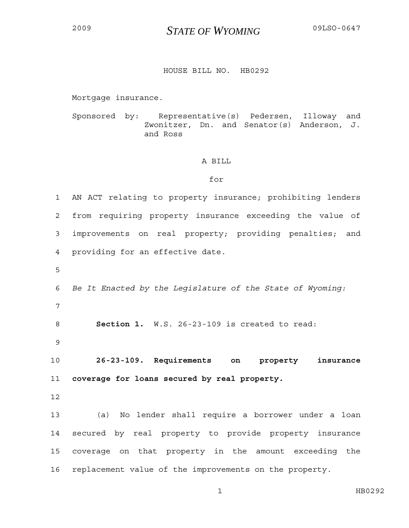## <sup>2009</sup>*STATE OF WYOMING* 09LSO-0647

## HOUSE BILL NO. HB0292

Mortgage insurance.

Sponsored by: Representative(s) Pedersen, Illoway and Zwonitzer, Dn. and Senator(s) Anderson, J. and Ross

## A BILL

## for

1 AN ACT relating to property insurance; prohibiting lenders 2 from requiring property insurance exceeding the value of 3 improvements on real property; providing penalties; and 4 providing for an effective date. 5 6 *Be It Enacted by the Legislature of the State of Wyoming:* 7 8 **Section 1.** W.S. 26-23-109 is created to read: 9 10 **26-23-109. Requirements on property insurance**  11 **coverage for loans secured by real property.** 12 13 (a) No lender shall require a borrower under a loan 14 secured by real property to provide property insurance 15 coverage on that property in the amount exceeding the 16 replacement value of the improvements on the property.